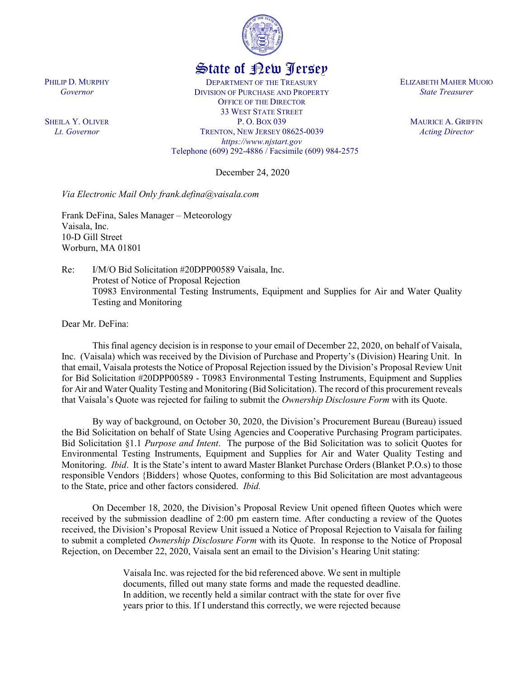

## State of New Jersey

DEPARTMENT OF THE TREASURY DIVISION OF PURCHASE AND PROPERTY OFFICE OF THE DIRECTOR 33 WEST STATE STREET P. O. BOX 039 TRENTON, NEW JERSEY 08625-0039 *https://www.njstart.gov* Telephone (609) 292-4886 / Facsimile (609) 984-2575

December 24, 2020

*Via Electronic Mail Only frank.defina@vaisala.com*

Frank DeFina, Sales Manager – Meteorology Vaisala, Inc. 10-D Gill Street Worburn, MA 01801

Re: I/M/O Bid Solicitation #20DPP00589 Vaisala, Inc. Protest of Notice of Proposal Rejection T0983 Environmental Testing Instruments, Equipment and Supplies for Air and Water Quality Testing and Monitoring

Dear Mr. DeFina:

This final agency decision is in response to your email of December 22, 2020, on behalf of Vaisala, Inc. (Vaisala) which was received by the Division of Purchase and Property's (Division) Hearing Unit. In that email, Vaisala protests the Notice of Proposal Rejection issued by the Division's Proposal Review Unit for Bid Solicitation #20DPP00589 - T0983 Environmental Testing Instruments, Equipment and Supplies for Air and Water Quality Testing and Monitoring (Bid Solicitation). The record of this procurement reveals that Vaisala's Quote was rejected for failing to submit the *Ownership Disclosure Form* with its Quote.

By way of background, on October 30, 2020, the Division's Procurement Bureau (Bureau) issued the Bid Solicitation on behalf of State Using Agencies and Cooperative Purchasing Program participates. Bid Solicitation §1.1 *Purpose and Intent*. The purpose of the Bid Solicitation was to solicit Quotes for Environmental Testing Instruments, Equipment and Supplies for Air and Water Quality Testing and Monitoring. *Ibid*. It is the State's intent to award Master Blanket Purchase Orders (Blanket P.O.s) to those responsible Vendors {Bidders} whose Quotes, conforming to this Bid Solicitation are most advantageous to the State, price and other factors considered. *Ibid.* 

On December 18, 2020, the Division's Proposal Review Unit opened fifteen Quotes which were received by the submission deadline of 2:00 pm eastern time. After conducting a review of the Quotes received, the Division's Proposal Review Unit issued a Notice of Proposal Rejection to Vaisala for failing to submit a completed *Ownership Disclosure Form* with its Quote. In response to the Notice of Proposal Rejection, on December 22, 2020, Vaisala sent an email to the Division's Hearing Unit stating:

> Vaisala Inc. was rejected for the bid referenced above. We sent in multiple documents, filled out many state forms and made the requested deadline. In addition, we recently held a similar contract with the state for over five years prior to this. If I understand this correctly, we were rejected because

PHILIP D. MURPHY *Governor*

SHEILA Y. OLIVER *Lt. Governor*

ELIZABETH MAHER MUOIO *State Treasurer*

> MAURICE A. GRIFFIN *Acting Director*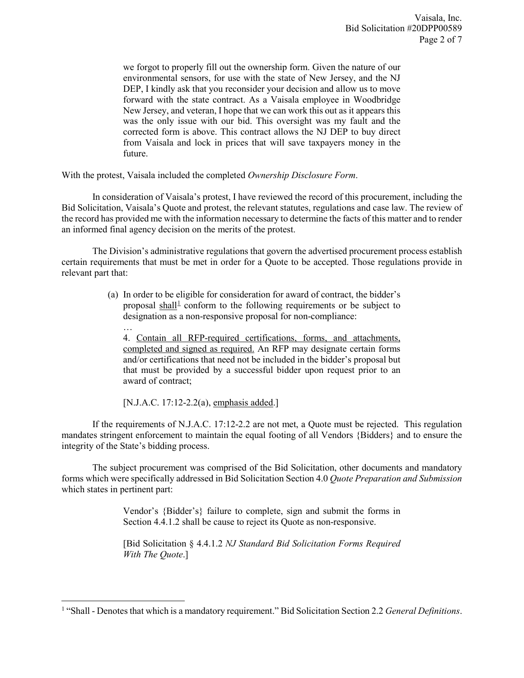we forgot to properly fill out the ownership form. Given the nature of our environmental sensors, for use with the state of New Jersey, and the NJ DEP, I kindly ask that you reconsider your decision and allow us to move forward with the state contract. As a Vaisala employee in Woodbridge New Jersey, and veteran, I hope that we can work this out as it appears this was the only issue with our bid. This oversight was my fault and the corrected form is above. This contract allows the NJ DEP to buy direct from Vaisala and lock in prices that will save taxpayers money in the future.

With the protest, Vaisala included the completed *Ownership Disclosure Form*.

In consideration of Vaisala's protest, I have reviewed the record of this procurement, including the Bid Solicitation, Vaisala's Quote and protest, the relevant statutes, regulations and case law. The review of the record has provided me with the information necessary to determine the facts of this matter and to render an informed final agency decision on the merits of the protest.

The Division's administrative regulations that govern the advertised procurement process establish certain requirements that must be met in order for a Quote to be accepted. Those regulations provide in relevant part that:

> (a) In order to be eligible for consideration for award of contract, the bidder's proposal shall<sup>[1](#page-1-0)</sup> conform to the following requirements or be subject to designation as a non-responsive proposal for non-compliance:

… 4. Contain all RFP-required certifications, forms, and attachments, completed and signed as required. An RFP may designate certain forms and/or certifications that need not be included in the bidder's proposal but that must be provided by a successful bidder upon request prior to an award of contract;

[N.J.A.C. 17:12-2.2(a), emphasis added.]

l

If the requirements of N.J.A.C. 17:12-2.2 are not met, a Quote must be rejected. This regulation mandates stringent enforcement to maintain the equal footing of all Vendors {Bidders} and to ensure the integrity of the State's bidding process.

The subject procurement was comprised of the Bid Solicitation, other documents and mandatory forms which were specifically addressed in Bid Solicitation Section 4.0 *Quote Preparation and Submission* which states in pertinent part:

> Vendor's {Bidder's} failure to complete, sign and submit the forms in Section 4.4.1.2 shall be cause to reject its Quote as non-responsive.

> [Bid Solicitation § 4.4.1.2 *NJ Standard Bid Solicitation Forms Required With The Quote*.]

<span id="page-1-0"></span><sup>1</sup> "Shall - Denotes that which is a mandatory requirement." Bid Solicitation Section 2.2 *General Definitions*.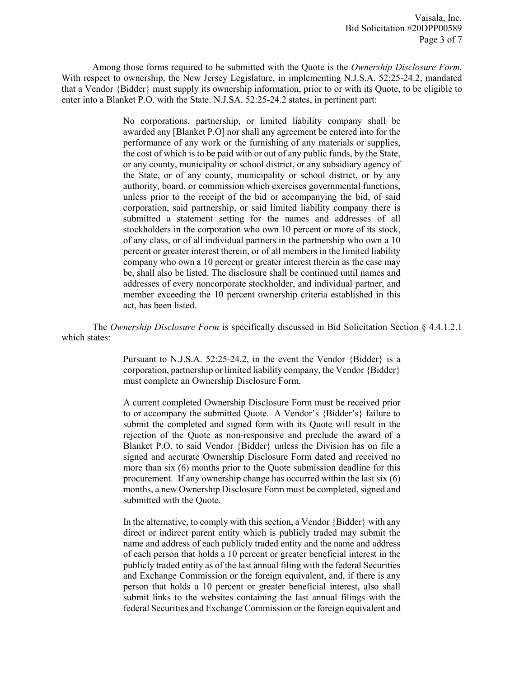Among those forms required to be submitted with the Quote is the *Ownership Disclosure Form.*  With respect to ownership, the New Jersey Legislature, in implementing N.J.S.A. 52:25-24.2, mandated that a Vendor {Bidder} must supply its ownership information, prior to or with its Quote, to be eligible to enter into a Blanket P.O. with the State. N.J.SA. 52:25-24.2 states, in pertinent part:

> No corporations, partnership, or limited liability company shall be awarded any [Blanket P.O] nor shall any agreement be entered into for the performance of any work or the furnishing of any materials or supplies, the cost of which is to be paid with or out of any public funds, by the State, or any county, municipality or school district, or any subsidiary agency of the State, or of any county, municipality or school district, or by any authority, board, or commission which exercises governmental functions, unless prior to the receipt of the bid or accompanying the bid, of said corporation, said partnership, or said limited liability company there is submitted a statement setting for the names and addresses of all stockholders in the corporation who own 10 percent or more of its stock, of any class, or of all individual partners in the partnership who own a 10 percent or greater interest therein, or of all members in the limited liability company who own a 10 percent or greater interest therein as the case may be, shall also be listed. The disclosure shall be continued until names and addresses of every noncorporate stockholder, and individual partner, and member exceeding the 10 percent ownership criteria established in this act, has been listed.

The *Ownership Disclosure Form* is specifically discussed in Bid Solicitation Section § 4.4.1.2.1 which states:

> Pursuant to N.J.S.A. 52:25-24.2, in the event the Vendor {Bidder} is a corporation, partnership or limited liability company, the Vendor {Bidder} must complete an Ownership Disclosure Form.

> A current completed Ownership Disclosure Form must be received prior to or accompany the submitted Quote. A Vendor's {Bidder's} failure to submit the completed and signed form with its Quote will result in the rejection of the Quote as non-responsive and preclude the award of a Blanket P.O. to said Vendor {Bidder} unless the Division has on file a signed and accurate Ownership Disclosure Form dated and received no more than six (6) months prior to the Quote submission deadline for this procurement. If any ownership change has occurred within the last six (6) months, a new Ownership Disclosure Form must be completed, signed and submitted with the Quote.

> In the alternative, to comply with this section, a Vendor {Bidder} with any direct or indirect parent entity which is publicly traded may submit the name and address of each publicly traded entity and the name and address of each person that holds a 10 percent or greater beneficial interest in the publicly traded entity as of the last annual filing with the federal Securities and Exchange Commission or the foreign equivalent, and, if there is any person that holds a 10 percent or greater beneficial interest, also shall submit links to the websites containing the last annual filings with the federal Securities and Exchange Commission or the foreign equivalent and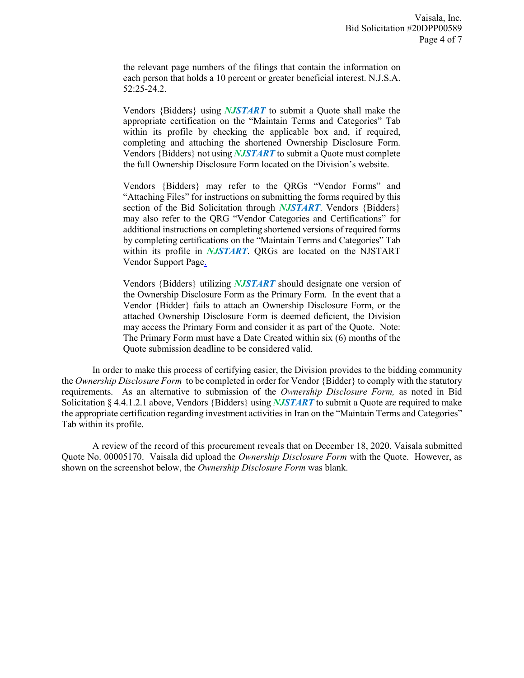the relevant page numbers of the filings that contain the information on each person that holds a 10 percent or greater beneficial interest. N.J.S.A. 52:25-24.2.

Vendors {Bidders} using *NJSTART* to submit a Quote shall make the appropriate certification on the "Maintain Terms and Categories" Tab within its profile by checking the applicable box and, if required, completing and attaching the shortened Ownership Disclosure Form. Vendors {Bidders} not using *NJSTART* to submit a Quote must complete the full Ownership Disclosure Form located on the Division's website.

Vendors {Bidders} may refer to the QRGs "Vendor Forms" and "Attaching Files" for instructions on submitting the forms required by this section of the Bid Solicitation through *NJSTART*. Vendors {Bidders} may also refer to the QRG "Vendor Categories and Certifications" for additional instructions on completing shortened versions of required forms by completing certifications on the "Maintain Terms and Categories" Tab within its profile in *NJSTART*. QRGs are located on the NJSTART Vendor Support Page.

Vendors {Bidders} utilizing *NJSTART* should designate one version of the Ownership Disclosure Form as the Primary Form. In the event that a Vendor {Bidder} fails to attach an Ownership Disclosure Form, or the attached Ownership Disclosure Form is deemed deficient, the Division may access the Primary Form and consider it as part of the Quote. Note: The Primary Form must have a Date Created within six (6) months of the Quote submission deadline to be considered valid.

In order to make this process of certifying easier, the Division provides to the bidding community the *Ownership Disclosure Form* to be completed in order for Vendor {Bidder} to comply with the statutory requirements. As an alternative to submission of the *Ownership Disclosure Form,* as noted in Bid Solicitation § 4.4.1.2.1 above, Vendors {Bidders} using *NJSTART* to submit a Quote are required to make the appropriate certification regarding investment activities in Iran on the "Maintain Terms and Categories" Tab within its profile.

A review of the record of this procurement reveals that on December 18, 2020, Vaisala submitted Quote No. 00005170. Vaisala did upload the *Ownership Disclosure Form* with the Quote. However, as shown on the screenshot below, the *Ownership Disclosure Form* was blank.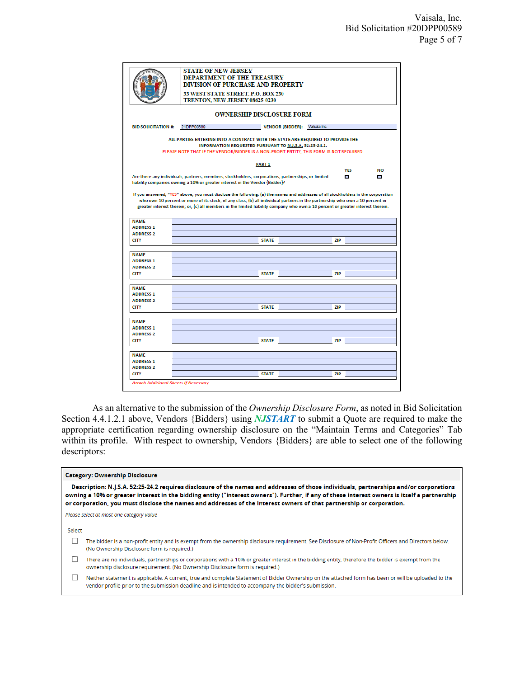|                                      | <b>DIVISION OF PURCHASE AND PROPERTY</b><br>33 WEST STATE STREET, P.O. BOX 230<br>TRENTON, NEW JERSEY 08625-0230 |                                                                                                                                                                                                                                                                   |                               |                                        |  |  |  |  |
|--------------------------------------|------------------------------------------------------------------------------------------------------------------|-------------------------------------------------------------------------------------------------------------------------------------------------------------------------------------------------------------------------------------------------------------------|-------------------------------|----------------------------------------|--|--|--|--|
|                                      |                                                                                                                  |                                                                                                                                                                                                                                                                   |                               |                                        |  |  |  |  |
| <b>BID SOLICITATION #:</b>           | 21DPP00589                                                                                                       |                                                                                                                                                                                                                                                                   | VENDOR {BIDDER}: Valsala Inc. |                                        |  |  |  |  |
|                                      |                                                                                                                  | ALL PARTIES ENTERING INTO A CONTRACT WITH THE STATE ARE REQUIRED TO PROVIDE THE<br>INFORMATION REQUESTED PURSUANT TO N.J.S.A. 52:25-24.2.<br>PLEASE NOTE THAT IF THE VENDOR/BIDDER IS A NON-PROFIT ENTITY, THIS FORM IS NOT REQUIRED.                             |                               |                                        |  |  |  |  |
| <b>PART 1</b>                        |                                                                                                                  |                                                                                                                                                                                                                                                                   |                               |                                        |  |  |  |  |
|                                      |                                                                                                                  |                                                                                                                                                                                                                                                                   |                               | <b>YES</b><br>NO                       |  |  |  |  |
|                                      |                                                                                                                  | Are there any individuals, partners, members, stockholders, corporations, partnerships, or limited<br>liability companies owning a 10% or greater interest in the Vendor {Bidder}?                                                                                |                               | <b>CONTRACTOR</b><br><b>CONTRACTOR</b> |  |  |  |  |
|                                      |                                                                                                                  | who own 10 percent or more of its stock, of any class; (b) all individual partners in the partnership who own a 10 percent or<br>greater interest therein; or, (c) all members in the limited liability company who own a 10 percent or greater interest therein. |                               |                                        |  |  |  |  |
|                                      |                                                                                                                  |                                                                                                                                                                                                                                                                   |                               |                                        |  |  |  |  |
| <b>NAME</b>                          |                                                                                                                  |                                                                                                                                                                                                                                                                   |                               |                                        |  |  |  |  |
| <b>ADDRESS 1</b><br><b>ADDRESS 2</b> |                                                                                                                  |                                                                                                                                                                                                                                                                   |                               |                                        |  |  |  |  |
| <b>CITY</b>                          |                                                                                                                  | <b>STATE</b>                                                                                                                                                                                                                                                      | <b>ZIP</b>                    |                                        |  |  |  |  |
|                                      |                                                                                                                  |                                                                                                                                                                                                                                                                   |                               |                                        |  |  |  |  |
| <b>NAME</b>                          |                                                                                                                  |                                                                                                                                                                                                                                                                   |                               |                                        |  |  |  |  |
| <b>ADDRESS 1</b><br><b>ADDRESS 2</b> |                                                                                                                  |                                                                                                                                                                                                                                                                   |                               |                                        |  |  |  |  |
| <b>CITY</b>                          |                                                                                                                  | <b>STATE</b>                                                                                                                                                                                                                                                      | <b>ZIP</b>                    |                                        |  |  |  |  |
| <b>NAME</b>                          |                                                                                                                  |                                                                                                                                                                                                                                                                   |                               |                                        |  |  |  |  |
| <b>ADDRESS 1</b>                     |                                                                                                                  |                                                                                                                                                                                                                                                                   |                               |                                        |  |  |  |  |
| <b>ADDRESS 2</b>                     |                                                                                                                  |                                                                                                                                                                                                                                                                   |                               |                                        |  |  |  |  |
| <b>CITY</b>                          |                                                                                                                  | <b>STATE</b>                                                                                                                                                                                                                                                      | <b>ZIP</b>                    |                                        |  |  |  |  |
| <b>NAME</b>                          |                                                                                                                  |                                                                                                                                                                                                                                                                   |                               |                                        |  |  |  |  |
| <b>ADDRESS 1</b>                     |                                                                                                                  |                                                                                                                                                                                                                                                                   |                               |                                        |  |  |  |  |
| <b>ADDRESS 2</b>                     |                                                                                                                  |                                                                                                                                                                                                                                                                   |                               |                                        |  |  |  |  |
| <b>CITY</b>                          |                                                                                                                  | <b>STATE</b>                                                                                                                                                                                                                                                      | <b>ZIP</b>                    |                                        |  |  |  |  |
| <b>NAME</b>                          |                                                                                                                  |                                                                                                                                                                                                                                                                   |                               |                                        |  |  |  |  |
| <b>ADDRESS 1</b>                     |                                                                                                                  |                                                                                                                                                                                                                                                                   |                               |                                        |  |  |  |  |
| <b>ADDRESS 2</b><br><b>CITY</b>      |                                                                                                                  | <b>STATE</b>                                                                                                                                                                                                                                                      | <b>ZIP</b>                    |                                        |  |  |  |  |

As an alternative to the submission of the *Ownership Disclosure Form*, as noted in Bid Solicitation Section 4.4.1.2.1 above, Vendors {Bidders} using *NJSTART* to submit a Quote are required to make the appropriate certification regarding ownership disclosure on the "Maintain Terms and Categories" Tab within its profile. With respect to ownership, Vendors {Bidders} are able to select one of the following descriptors:

|  |  | <b>Category: Ownership Disclosure</b> |
|--|--|---------------------------------------|
|--|--|---------------------------------------|

Description: N.J.S.A. 52:25-24.2 requires disclosure of the names and addresses of those individuals, partnerships and/or corporations owning a 10% or greater interest in the bidding entity ("interest owners"). Further, if any of these interest owners is itself a partnership or corporation, you must disclose the names and addresses of the interest owners of that partnership or corporation.

Please select at most one category value

Select

- The bidder is a non-profit entity and is exempt from the ownership disclosure requirement. See Disclosure of Non-Profit Officers and Directors below. (No Ownership Disclosure form is required.)
- There are no individuals, partnerships or corporations with a 10% or greater interest in the bidding entity, therefore the bidder is exempt from the ownership disclosure requirement. (No Ownership Disclosure form is required.)
- $\Box$ Neither statement is applicable. A current, true and complete Statement of Bidder Ownership on the attached form has been or will be uploaded to the vendor profile prior to the submission deadline and is intended to accompany the bidder's submission.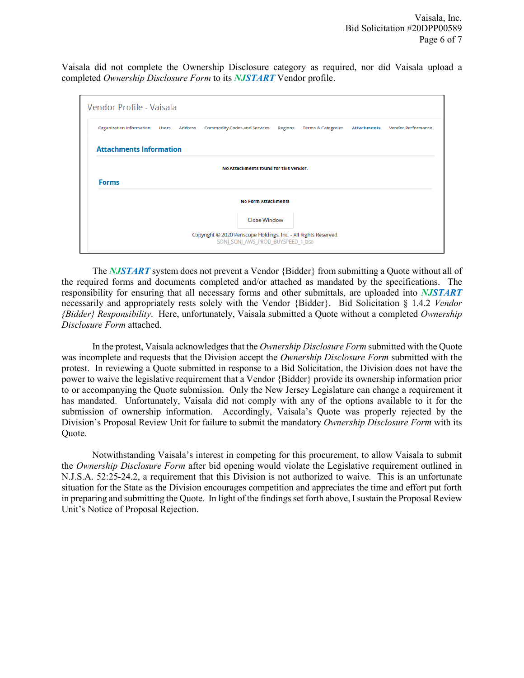Vaisala did not complete the Ownership Disclosure category as required, nor did Vaisala upload a completed *Ownership Disclosure Form* to its *NJSTART* Vendor profile.

|                            |                                       |  | Organization information Users Address Commodity Codes and Services Regions |  | Terms & Categories | <b>Attachments</b> | Vendor Performance |  |  |  |
|----------------------------|---------------------------------------|--|-----------------------------------------------------------------------------|--|--------------------|--------------------|--------------------|--|--|--|
|                            | <b>Attachments Information</b>        |  |                                                                             |  |                    |                    |                    |  |  |  |
|                            | No Attachments found for this vendor. |  |                                                                             |  |                    |                    |                    |  |  |  |
| <b>Forms</b>               |                                       |  |                                                                             |  |                    |                    |                    |  |  |  |
| <b>No Form Attachments</b> |                                       |  |                                                                             |  |                    |                    |                    |  |  |  |
|                            |                                       |  |                                                                             |  |                    |                    |                    |  |  |  |

The *NJSTART* system does not prevent a Vendor {Bidder} from submitting a Quote without all of the required forms and documents completed and/or attached as mandated by the specifications. The responsibility for ensuring that all necessary forms and other submittals, are uploaded into *NJSTART* necessarily and appropriately rests solely with the Vendor {Bidder}. Bid Solicitation § 1.4.2 *Vendor {Bidder} Responsibility*. Here, unfortunately, Vaisala submitted a Quote without a completed *Ownership Disclosure Form* attached.

In the protest, Vaisala acknowledges that the *Ownership Disclosure Form* submitted with the Quote was incomplete and requests that the Division accept the *Ownership Disclosure Form* submitted with the protest. In reviewing a Quote submitted in response to a Bid Solicitation, the Division does not have the power to waive the legislative requirement that a Vendor {Bidder} provide its ownership information prior to or accompanying the Quote submission. Only the New Jersey Legislature can change a requirement it has mandated. Unfortunately, Vaisala did not comply with any of the options available to it for the submission of ownership information. Accordingly, Vaisala's Quote was properly rejected by the Division's Proposal Review Unit for failure to submit the mandatory *Ownership Disclosure Form* with its Quote.

Notwithstanding Vaisala's interest in competing for this procurement, to allow Vaisala to submit the *Ownership Disclosure Form* after bid opening would violate the Legislative requirement outlined in N.J.S.A. 52:25-24.2, a requirement that this Division is not authorized to waive. This is an unfortunate situation for the State as the Division encourages competition and appreciates the time and effort put forth in preparing and submitting the Quote. In light of the findings set forth above, I sustain the Proposal Review Unit's Notice of Proposal Rejection.